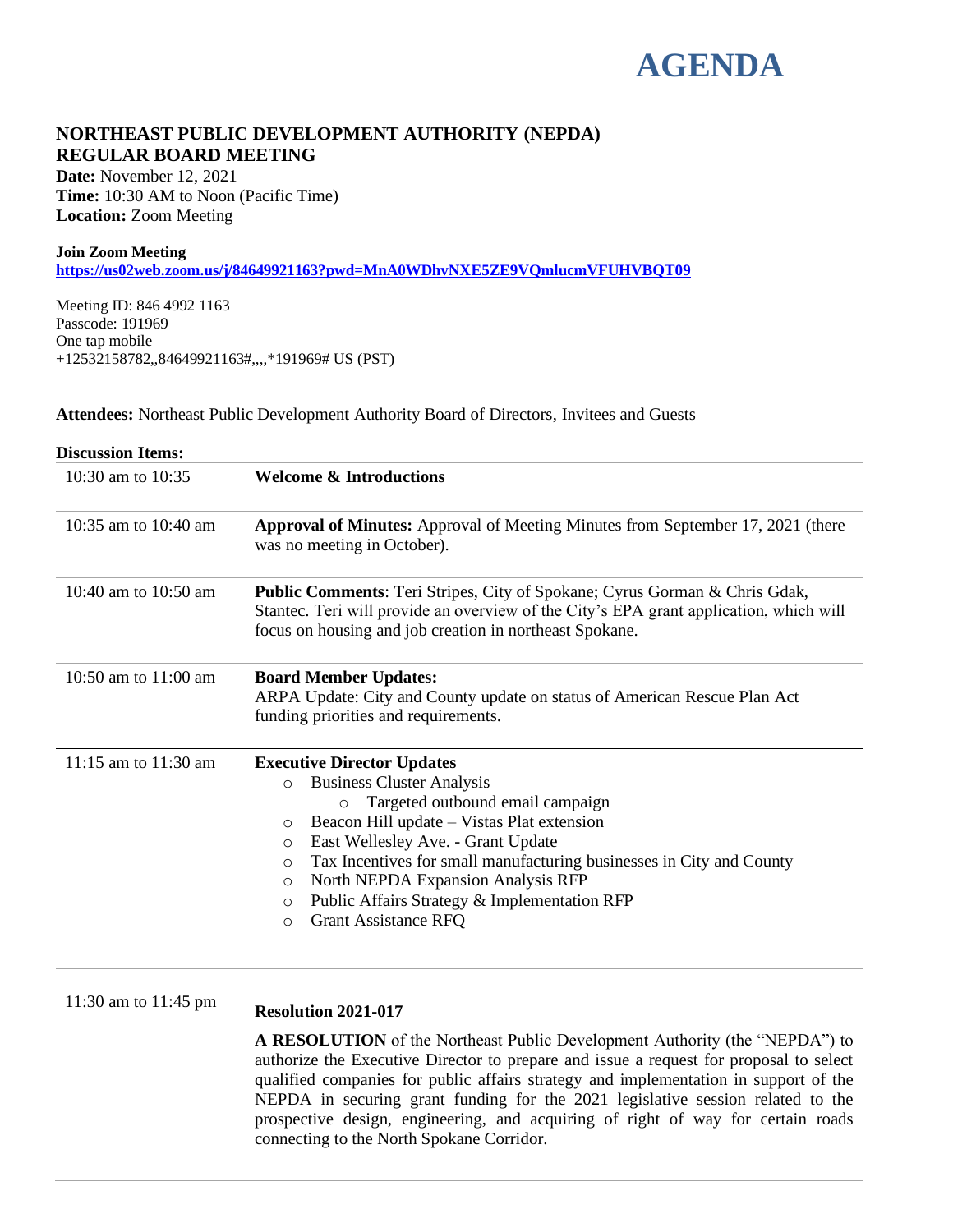# **AGENDA**

### **NORTHEAST PUBLIC DEVELOPMENT AUTHORITY (NEPDA) REGULAR BOARD MEETING**

**Date:** November 12, 2021 **Time:** 10:30 AM to Noon (Pacific Time) **Location:** Zoom Meeting

#### **Join Zoom Meeting**

**<https://us02web.zoom.us/j/84649921163?pwd=MnA0WDhvNXE5ZE9VQmlucmVFUHVBQT09>**

Meeting ID: 846 4992 1163 Passcode: 191969 One tap mobile +12532158782,,84649921163#,,,,\*191969# US (PST)

**Attendees:** Northeast Public Development Authority Board of Directors, Invitees and Guests

| <b>Discussion Items:</b> |                                                                                                                                                                                                                                        |
|--------------------------|----------------------------------------------------------------------------------------------------------------------------------------------------------------------------------------------------------------------------------------|
| 10:30 am to 10:35        | <b>Welcome &amp; Introductions</b>                                                                                                                                                                                                     |
| 10:35 am to 10:40 am     | <b>Approval of Minutes:</b> Approval of Meeting Minutes from September 17, 2021 (there<br>was no meeting in October).                                                                                                                  |
| 10:40 am to 10:50 am     | <b>Public Comments:</b> Teri Stripes, City of Spokane; Cyrus Gorman & Chris Gdak,<br>Stantec. Teri will provide an overview of the City's EPA grant application, which will<br>focus on housing and job creation in northeast Spokane. |
| 10:50 am to 11:00 am     | <b>Board Member Updates:</b><br>ARPA Update: City and County update on status of American Rescue Plan Act<br>funding priorities and requirements.                                                                                      |
| 11:15 am to 11:30 am     | <b>Executive Director Updates</b>                                                                                                                                                                                                      |
|                          | <b>Business Cluster Analysis</b><br>$\circ$                                                                                                                                                                                            |
|                          | Targeted outbound email campaign<br>$\circ$                                                                                                                                                                                            |
|                          | Beacon Hill update – Vistas Plat extension<br>O                                                                                                                                                                                        |
|                          | East Wellesley Ave. - Grant Update<br>O                                                                                                                                                                                                |
|                          | Tax Incentives for small manufacturing businesses in City and County<br>O                                                                                                                                                              |
|                          | North NEPDA Expansion Analysis RFP<br>O                                                                                                                                                                                                |
|                          | Public Affairs Strategy & Implementation RFP<br>O                                                                                                                                                                                      |
|                          | <b>Grant Assistance RFQ</b><br>$\circ$                                                                                                                                                                                                 |
| 11:30 am to 11:45 pm     | <b>Resolution 2021-017</b>                                                                                                                                                                                                             |
|                          | A RESOLUTION of the Northeast Public Development Authority (the "NEPDA") to                                                                                                                                                            |

authorize the Executive Director to prepare and issue a request for proposal to select qualified companies for public affairs strategy and implementation in support of the NEPDA in securing grant funding for the 2021 legislative session related to the prospective design, engineering, and acquiring of right of way for certain roads connecting to the North Spokane Corridor.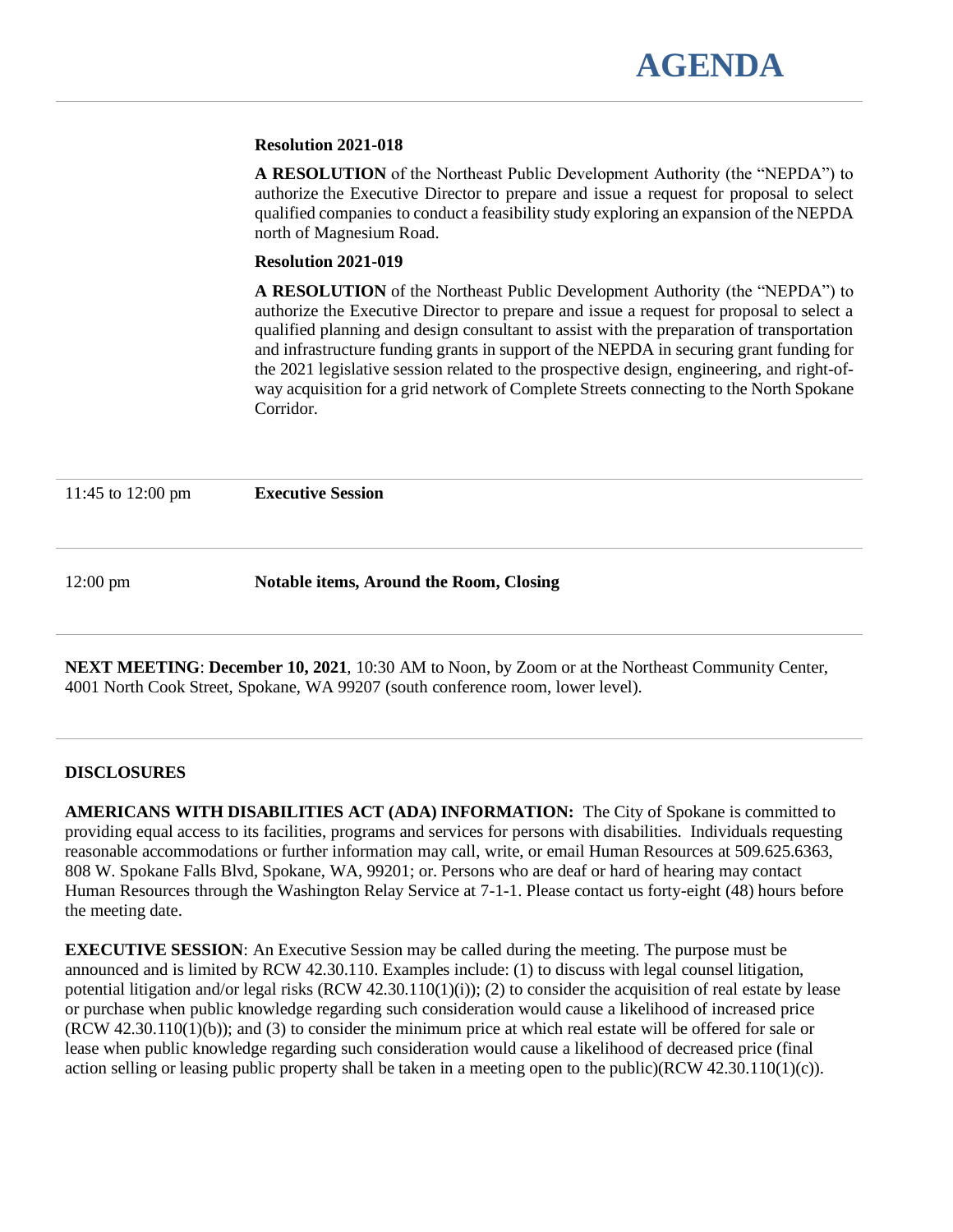#### **Resolution 2021-018**

**A RESOLUTION** of the Northeast Public Development Authority (the "NEPDA") to authorize the Executive Director to prepare and issue a request for proposal to select qualified companies to conduct a feasibility study exploring an expansion of the NEPDA north of Magnesium Road.

#### **Resolution 2021-019**

**A RESOLUTION** of the Northeast Public Development Authority (the "NEPDA") to authorize the Executive Director to prepare and issue a request for proposal to select a qualified planning and design consultant to assist with the preparation of transportation and infrastructure funding grants in support of the NEPDA in securing grant funding for the 2021 legislative session related to the prospective design, engineering, and right-ofway acquisition for a grid network of Complete Streets connecting to the North Spokane Corridor.

11:45 to 12:00 pm **Executive Session**

12:00 pm **Notable items, Around the Room, Closing**

**NEXT MEETING**: **December 10, 2021**, 10:30 AM to Noon, by Zoom or at the Northeast Community Center, 4001 North Cook Street, Spokane, WA 99207 (south conference room, lower level).

#### **DISCLOSURES**

**AMERICANS WITH DISABILITIES ACT (ADA) INFORMATION:** The City of Spokane is committed to providing equal access to its facilities, programs and services for persons with disabilities. Individuals requesting reasonable accommodations or further information may call, write, or email Human Resources at 509.625.6363, 808 W. Spokane Falls Blvd, Spokane, WA, 99201; or. Persons who are deaf or hard of hearing may contact Human Resources through the Washington Relay Service at 7-1-1. Please contact us forty-eight (48) hours before the meeting date.

**EXECUTIVE SESSION**: An Executive Session may be called during the meeting. The purpose must be announced and is limited by RCW 42.30.110. Examples include: (1) to discuss with legal counsel litigation, potential litigation and/or legal risks  $(RCW 42.30.110(1)(i))$ ; (2) to consider the acquisition of real estate by lease or purchase when public knowledge regarding such consideration would cause a likelihood of increased price (RCW 42.30.110(1)(b)); and (3) to consider the minimum price at which real estate will be offered for sale or lease when public knowledge regarding such consideration would cause a likelihood of decreased price (final action selling or leasing public property shall be taken in a meeting open to the public)(RCW 42.30.110(1)(c)).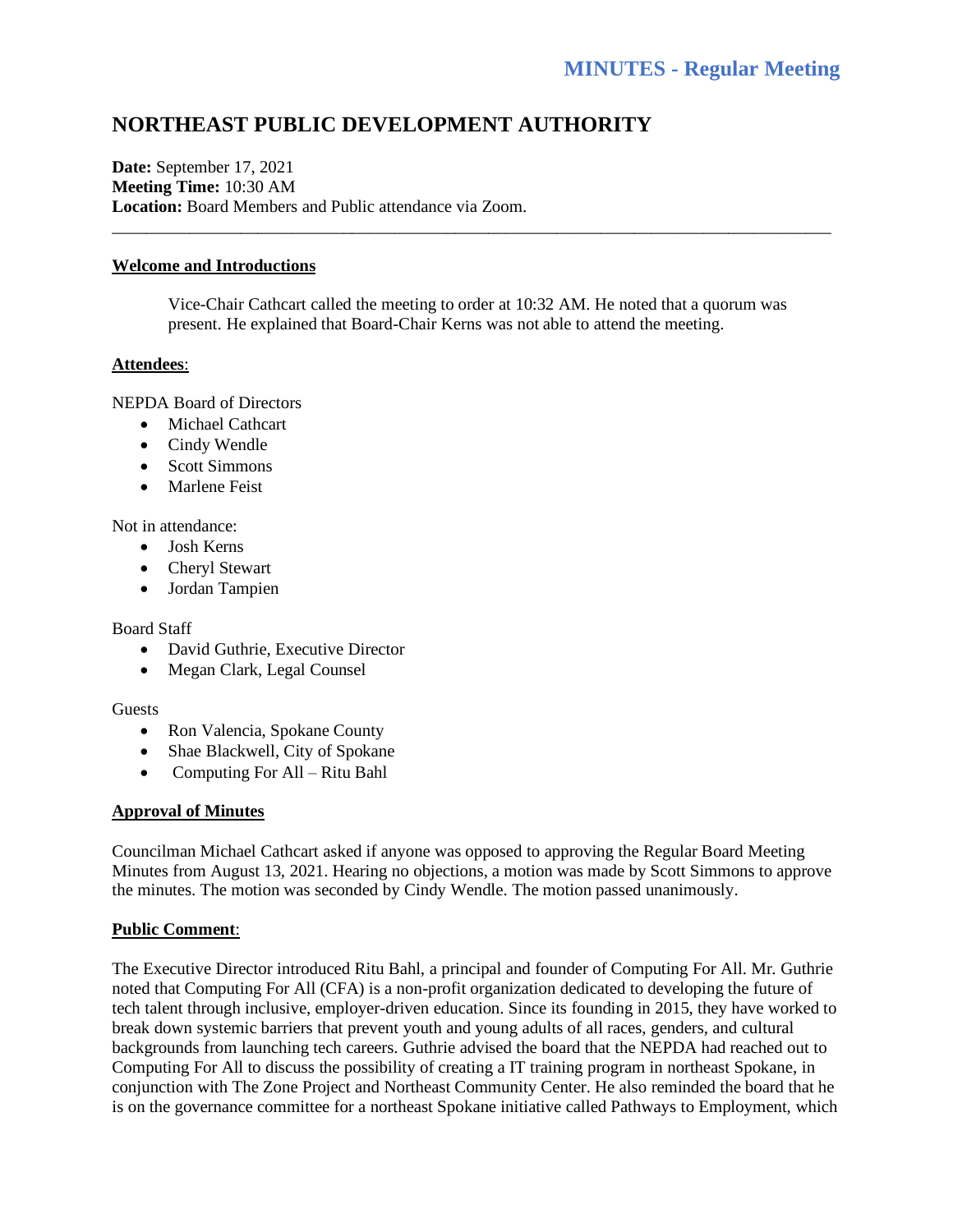## **NORTHEAST PUBLIC DEVELOPMENT AUTHORITY**

**Date:** September 17, 2021 **Meeting Time:** 10:30 AM **Location:** Board Members and Public attendance via Zoom.

#### **Welcome and Introductions**

Vice-Chair Cathcart called the meeting to order at 10:32 AM. He noted that a quorum was present. He explained that Board-Chair Kerns was not able to attend the meeting.

\_\_\_\_\_\_\_\_\_\_\_\_\_\_\_\_\_\_\_\_\_\_\_\_\_\_\_\_\_\_\_\_\_\_\_\_\_\_\_\_\_\_\_\_\_\_\_\_\_\_\_\_\_\_\_\_\_\_\_\_\_\_\_\_\_\_\_\_\_\_\_\_\_\_\_\_\_\_\_\_\_\_\_\_

#### **Attendees**:

NEPDA Board of Directors

- Michael Cathcart
- Cindy Wendle
- Scott Simmons
- Marlene Feist

Not in attendance:

- Josh Kerns
- Cheryl Stewart
- Jordan Tampien

#### Board Staff

- David Guthrie, Executive Director
- Megan Clark, Legal Counsel

#### Guests

- Ron Valencia, Spokane County
- Shae Blackwell, City of Spokane
- Computing For All Ritu Bahl

#### **Approval of Minutes**

Councilman Michael Cathcart asked if anyone was opposed to approving the Regular Board Meeting Minutes from August 13, 2021. Hearing no objections, a motion was made by Scott Simmons to approve the minutes. The motion was seconded by Cindy Wendle. The motion passed unanimously.

#### **Public Comment**:

The Executive Director introduced Ritu Bahl, a principal and founder of Computing For All. Mr. Guthrie noted that Computing For All (CFA) is a non-profit organization dedicated to developing the future of tech talent through inclusive, employer-driven education. Since its founding in 2015, they have worked to break down systemic barriers that prevent youth and young adults of all races, genders, and cultural backgrounds from launching tech careers. Guthrie advised the board that the NEPDA had reached out to Computing For All to discuss the possibility of creating a IT training program in northeast Spokane, in conjunction with The Zone Project and Northeast Community Center. He also reminded the board that he is on the governance committee for a northeast Spokane initiative called Pathways to Employment, which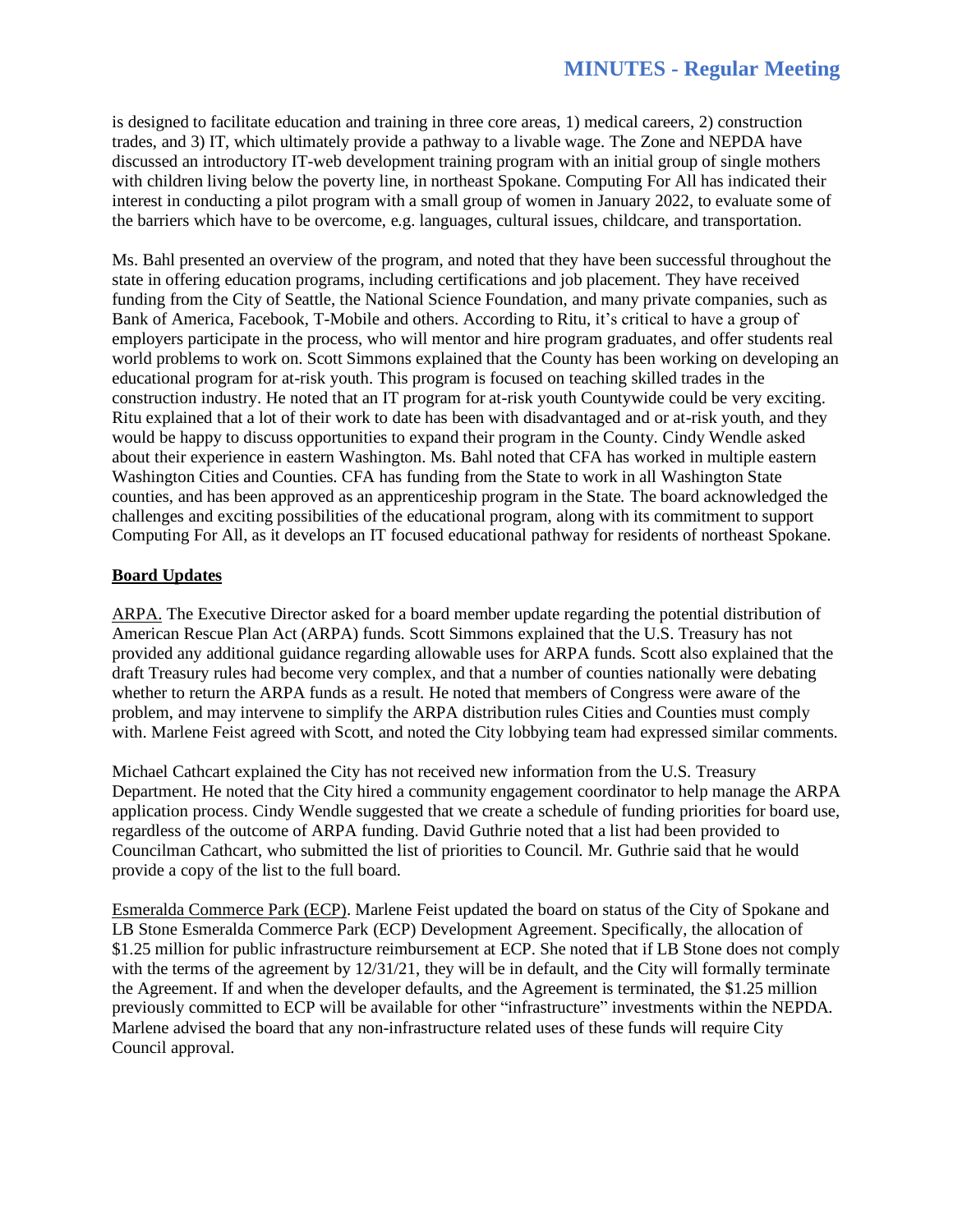is designed to facilitate education and training in three core areas, 1) medical careers, 2) construction trades, and 3) IT, which ultimately provide a pathway to a livable wage. The Zone and NEPDA have discussed an introductory IT-web development training program with an initial group of single mothers with children living below the poverty line, in northeast Spokane. Computing For All has indicated their interest in conducting a pilot program with a small group of women in January 2022, to evaluate some of the barriers which have to be overcome, e.g. languages, cultural issues, childcare, and transportation.

Ms. Bahl presented an overview of the program, and noted that they have been successful throughout the state in offering education programs, including certifications and job placement. They have received funding from the City of Seattle, the National Science Foundation, and many private companies, such as Bank of America, Facebook, T-Mobile and others. According to Ritu, it's critical to have a group of employers participate in the process, who will mentor and hire program graduates, and offer students real world problems to work on. Scott Simmons explained that the County has been working on developing an educational program for at-risk youth. This program is focused on teaching skilled trades in the construction industry. He noted that an IT program for at-risk youth Countywide could be very exciting. Ritu explained that a lot of their work to date has been with disadvantaged and or at-risk youth, and they would be happy to discuss opportunities to expand their program in the County. Cindy Wendle asked about their experience in eastern Washington. Ms. Bahl noted that CFA has worked in multiple eastern Washington Cities and Counties. CFA has funding from the State to work in all Washington State counties, and has been approved as an apprenticeship program in the State. The board acknowledged the challenges and exciting possibilities of the educational program, along with its commitment to support Computing For All, as it develops an IT focused educational pathway for residents of northeast Spokane.

#### **Board Updates**

ARPA. The Executive Director asked for a board member update regarding the potential distribution of American Rescue Plan Act (ARPA) funds. Scott Simmons explained that the U.S. Treasury has not provided any additional guidance regarding allowable uses for ARPA funds. Scott also explained that the draft Treasury rules had become very complex, and that a number of counties nationally were debating whether to return the ARPA funds as a result. He noted that members of Congress were aware of the problem, and may intervene to simplify the ARPA distribution rules Cities and Counties must comply with. Marlene Feist agreed with Scott, and noted the City lobbying team had expressed similar comments.

Michael Cathcart explained the City has not received new information from the U.S. Treasury Department. He noted that the City hired a community engagement coordinator to help manage the ARPA application process. Cindy Wendle suggested that we create a schedule of funding priorities for board use, regardless of the outcome of ARPA funding. David Guthrie noted that a list had been provided to Councilman Cathcart, who submitted the list of priorities to Council. Mr. Guthrie said that he would provide a copy of the list to the full board.

Esmeralda Commerce Park (ECP). Marlene Feist updated the board on status of the City of Spokane and LB Stone Esmeralda Commerce Park (ECP) Development Agreement. Specifically, the allocation of \$1.25 million for public infrastructure reimbursement at ECP. She noted that if LB Stone does not comply with the terms of the agreement by  $12/31/21$ , they will be in default, and the City will formally terminate the Agreement. If and when the developer defaults, and the Agreement is terminated, the \$1.25 million previously committed to ECP will be available for other "infrastructure" investments within the NEPDA. Marlene advised the board that any non-infrastructure related uses of these funds will require City Council approval.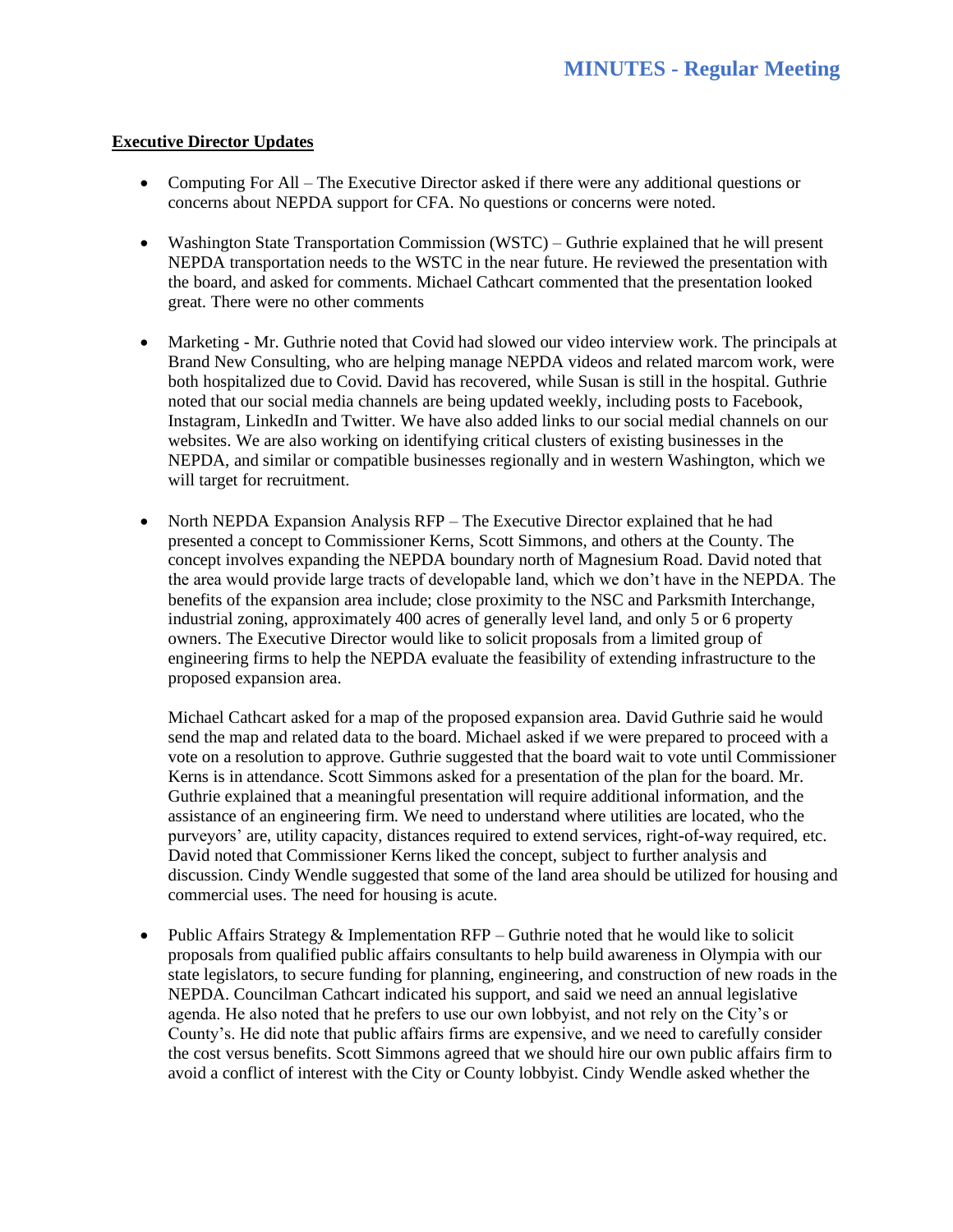#### **Executive Director Updates**

- Computing For All The Executive Director asked if there were any additional questions or concerns about NEPDA support for CFA. No questions or concerns were noted.
- Washington State Transportation Commission (WSTC) Guthrie explained that he will present NEPDA transportation needs to the WSTC in the near future. He reviewed the presentation with the board, and asked for comments. Michael Cathcart commented that the presentation looked great. There were no other comments
- Marketing Mr. Guthrie noted that Covid had slowed our video interview work. The principals at Brand New Consulting, who are helping manage NEPDA videos and related marcom work, were both hospitalized due to Covid. David has recovered, while Susan is still in the hospital. Guthrie noted that our social media channels are being updated weekly, including posts to Facebook, Instagram, LinkedIn and Twitter. We have also added links to our social medial channels on our websites. We are also working on identifying critical clusters of existing businesses in the NEPDA, and similar or compatible businesses regionally and in western Washington, which we will target for recruitment.
- North NEPDA Expansion Analysis RFP The Executive Director explained that he had presented a concept to Commissioner Kerns, Scott Simmons, and others at the County. The concept involves expanding the NEPDA boundary north of Magnesium Road. David noted that the area would provide large tracts of developable land, which we don't have in the NEPDA. The benefits of the expansion area include; close proximity to the NSC and Parksmith Interchange, industrial zoning, approximately 400 acres of generally level land, and only 5 or 6 property owners. The Executive Director would like to solicit proposals from a limited group of engineering firms to help the NEPDA evaluate the feasibility of extending infrastructure to the proposed expansion area.

Michael Cathcart asked for a map of the proposed expansion area. David Guthrie said he would send the map and related data to the board. Michael asked if we were prepared to proceed with a vote on a resolution to approve. Guthrie suggested that the board wait to vote until Commissioner Kerns is in attendance. Scott Simmons asked for a presentation of the plan for the board. Mr. Guthrie explained that a meaningful presentation will require additional information, and the assistance of an engineering firm. We need to understand where utilities are located, who the purveyors' are, utility capacity, distances required to extend services, right-of-way required, etc. David noted that Commissioner Kerns liked the concept, subject to further analysis and discussion. Cindy Wendle suggested that some of the land area should be utilized for housing and commercial uses. The need for housing is acute.

• Public Affairs Strategy & Implementation RFP – Guthrie noted that he would like to solicit proposals from qualified public affairs consultants to help build awareness in Olympia with our state legislators, to secure funding for planning, engineering, and construction of new roads in the NEPDA. Councilman Cathcart indicated his support, and said we need an annual legislative agenda. He also noted that he prefers to use our own lobbyist, and not rely on the City's or County's. He did note that public affairs firms are expensive, and we need to carefully consider the cost versus benefits. Scott Simmons agreed that we should hire our own public affairs firm to avoid a conflict of interest with the City or County lobbyist. Cindy Wendle asked whether the